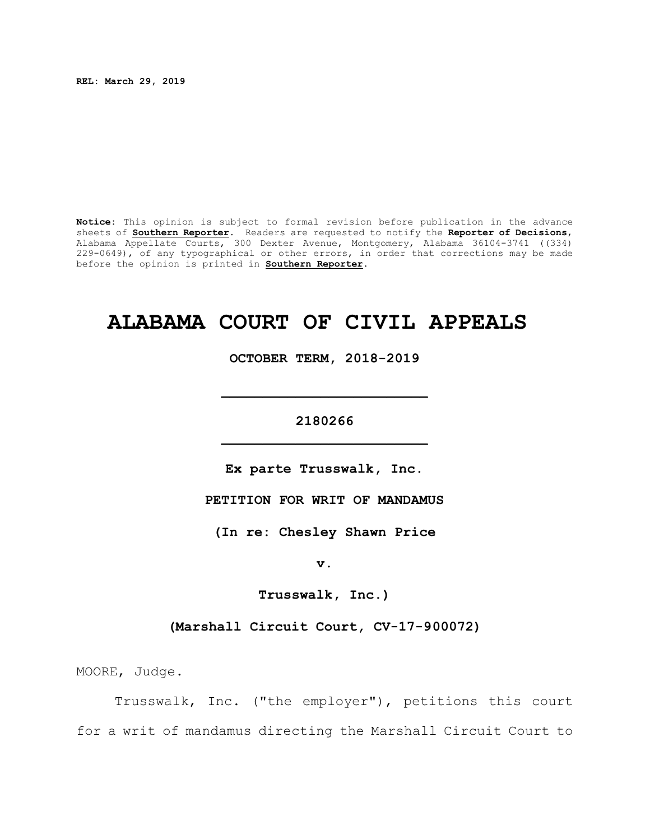**REL: March 29, 2019**

**Notice:** This opinion is subject to formal revision before publication in the advance sheets of **Southern Reporter**. Readers are requested to notify the **Reporter of Decisions**, Alabama Appellate Courts, 300 Dexter Avenue, Montgomery, Alabama 36104-3741 ((334) 229-0649), of any typographical or other errors, in order that corrections may be made before the opinion is printed in **Southern Reporter**.

# **ALABAMA COURT OF CIVIL APPEALS**

**OCTOBER TERM, 2018-2019**

**\_\_\_\_\_\_\_\_\_\_\_\_\_\_\_\_\_\_\_\_\_\_\_\_\_**

# **2180266 \_\_\_\_\_\_\_\_\_\_\_\_\_\_\_\_\_\_\_\_\_\_\_\_\_**

**Ex parte Trusswalk, Inc.**

**PETITION FOR WRIT OF MANDAMUS**

**(In re: Chesley Shawn Price**

**v.**

**Trusswalk, Inc.)**

**(Marshall Circuit Court, CV-17-900072)**

MOORE, Judge.

Trusswalk, Inc. ("the employer"), petitions this court for a writ of mandamus directing the Marshall Circuit Court to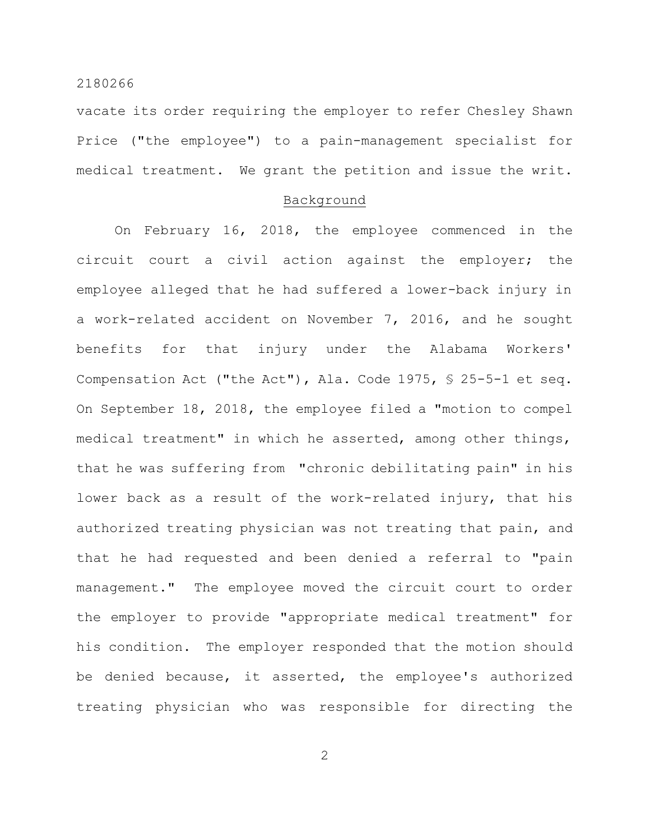vacate its order requiring the employer to refer Chesley Shawn Price ("the employee") to a pain-management specialist for medical treatment. We grant the petition and issue the writ.

# Background

On February 16, 2018, the employee commenced in the circuit court a civil action against the employer; the employee alleged that he had suffered a lower-back injury in a work-related accident on November 7, 2016, and he sought benefits for that injury under the Alabama Workers' Compensation Act ("the Act"), Ala. Code 1975, § 25-5-1 et seq. On September 18, 2018, the employee filed a "motion to compel medical treatment" in which he asserted, among other things, that he was suffering from "chronic debilitating pain" in his lower back as a result of the work-related injury, that his authorized treating physician was not treating that pain, and that he had requested and been denied a referral to "pain management." The employee moved the circuit court to order the employer to provide "appropriate medical treatment" for his condition. The employer responded that the motion should be denied because, it asserted, the employee's authorized treating physician who was responsible for directing the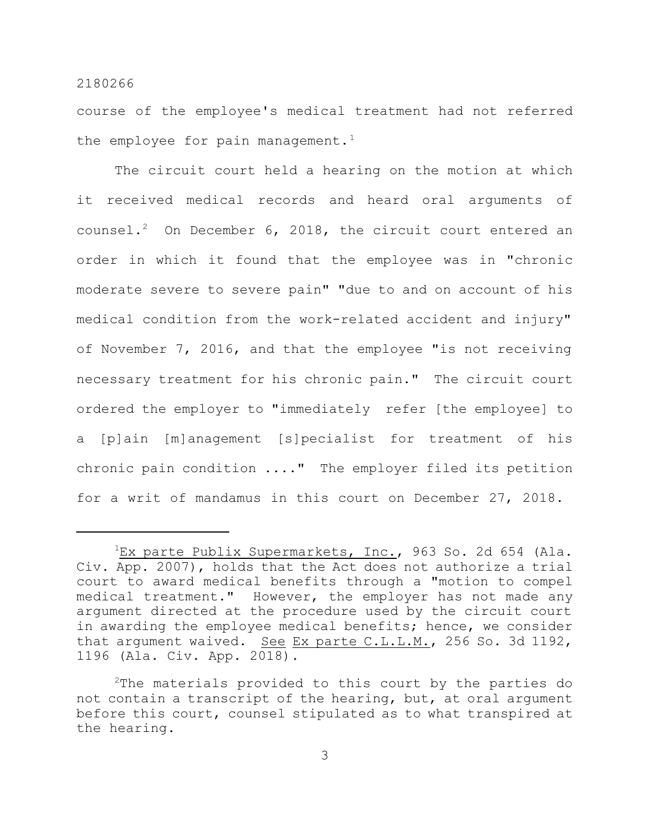course of the employee's medical treatment had not referred the employee for pain management.<sup>1</sup>

The circuit court held a hearing on the motion at which it received medical records and heard oral arguments of counsel.<sup>2</sup> On December  $6, 2018$ , the circuit court entered an order in which it found that the employee was in "chronic moderate severe to severe pain" "due to and on account of his medical condition from the work-related accident and injury" of November 7, 2016, and that the employee "is not receiving necessary treatment for his chronic pain." The circuit court ordered the employer to "immediately refer [the employee] to a [p]ain [m]anagement [s]pecialist for treatment of his chronic pain condition ...." The employer filed its petition for a writ of mandamus in this court on December 27, 2018.

<sup>&</sup>lt;sup>1</sup>Ex parte Publix Supermarkets, Inc., 963 So. 2d 654 (Ala. Civ. App. 2007), holds that the Act does not authorize a trial court to award medical benefits through a "motion to compel medical treatment." However, the employer has not made any argument directed at the procedure used by the circuit court in awarding the employee medical benefits; hence, we consider that argument waived. See Ex parte C.L.L.M., 256 So. 3d 1192, 1196 (Ala. Civ. App. 2018).

<sup>&</sup>lt;sup>2</sup>The materials provided to this court by the parties do not contain a transcript of the hearing, but, at oral argument before this court, counsel stipulated as to what transpired at the hearing.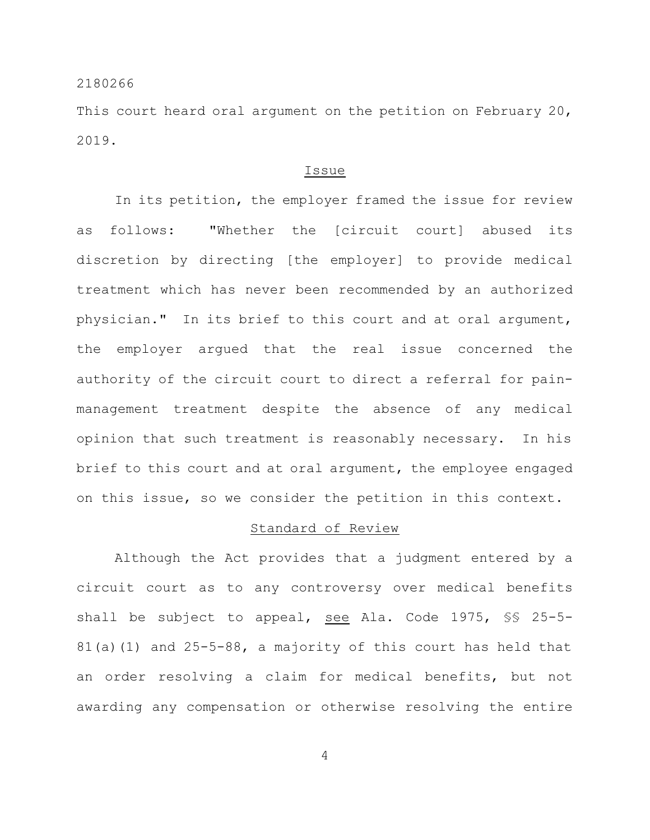This court heard oral argument on the petition on February 20, 2019.

#### Issue

In its petition, the employer framed the issue for review as follows: "Whether the [circuit court] abused its discretion by directing [the employer] to provide medical treatment which has never been recommended by an authorized physician." In its brief to this court and at oral argument, the employer argued that the real issue concerned the authority of the circuit court to direct a referral for painmanagement treatment despite the absence of any medical opinion that such treatment is reasonably necessary. In his brief to this court and at oral argument, the employee engaged on this issue, so we consider the petition in this context.

#### Standard of Review

Although the Act provides that a judgment entered by a circuit court as to any controversy over medical benefits shall be subject to appeal, see Ala. Code 1975, §§ 25-5-81(a)(1) and 25-5-88, a majority of this court has held that an order resolving a claim for medical benefits, but not awarding any compensation or otherwise resolving the entire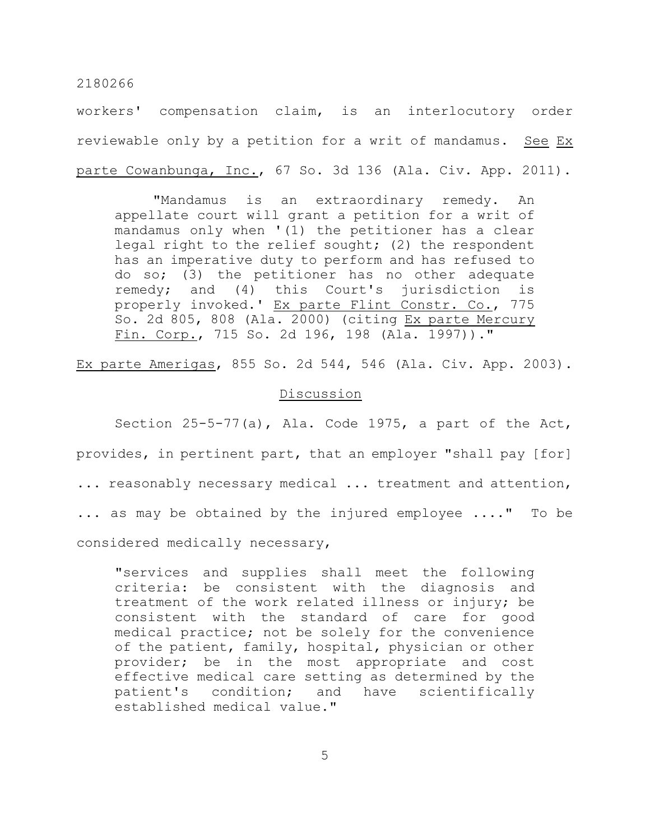workers' compensation claim, is an interlocutory order reviewable only by a petition for a writ of mandamus. See Ex parte Cowanbunga, Inc., 67 So. 3d 136 (Ala. Civ. App. 2011).

"Mandamus is an extraordinary remedy. An appellate court will grant a petition for a writ of mandamus only when '(1) the petitioner has a clear legal right to the relief sought; (2) the respondent has an imperative duty to perform and has refused to do so; (3) the petitioner has no other adequate remedy; and (4) this Court's jurisdiction is properly invoked.' Ex parte Flint Constr. Co., 775 So. 2d 805, 808 (Ala. 2000) (citing Ex parte Mercury Fin. Corp., 715 So. 2d 196, 198 (Ala. 1997))."

Ex parte Amerigas, 855 So. 2d 544, 546 (Ala. Civ. App. 2003).

#### **Discussion**

Section 25-5-77(a), Ala. Code 1975, a part of the Act, provides, in pertinent part, that an employer "shall pay [for] ... reasonably necessary medical ... treatment and attention, ... as may be obtained by the injured employee ...." To be considered medically necessary,

"services and supplies shall meet the following criteria: be consistent with the diagnosis and treatment of the work related illness or injury; be consistent with the standard of care for good medical practice; not be solely for the convenience of the patient, family, hospital, physician or other provider; be in the most appropriate and cost effective medical care setting as determined by the patient's condition; and have scientifically established medical value."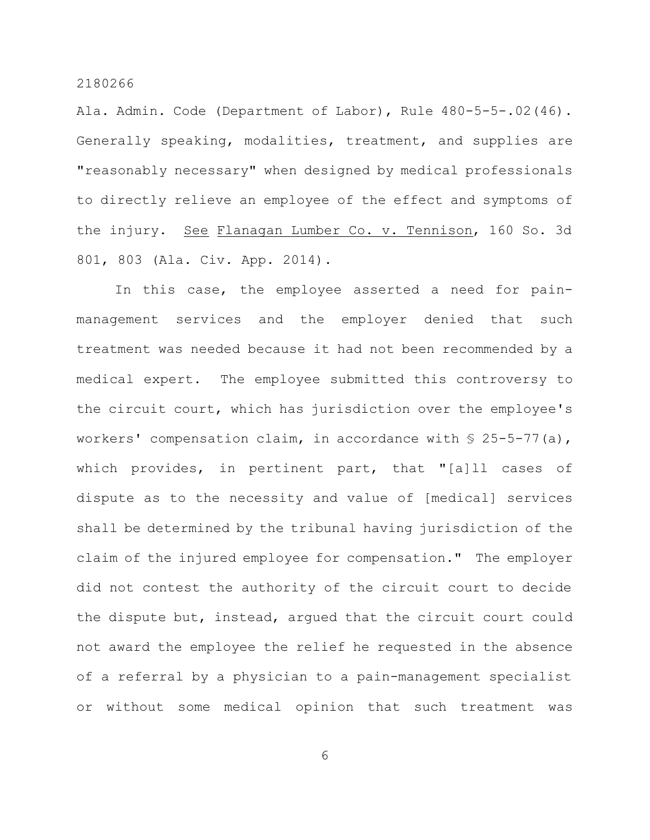Ala. Admin. Code (Department of Labor), Rule 480-5-5-.02(46). Generally speaking, modalities, treatment, and supplies are "reasonably necessary" when designed by medical professionals to directly relieve an employee of the effect and symptoms of the injury. See Flanagan Lumber Co. v. Tennison, 160 So. 3d 801, 803 (Ala. Civ. App. 2014).

In this case, the employee asserted a need for painmanagement services and the employer denied that such treatment was needed because it had not been recommended by a medical expert. The employee submitted this controversy to the circuit court, which has jurisdiction over the employee's workers' compensation claim, in accordance with  $\S$  25-5-77(a), which provides, in pertinent part, that "[a]ll cases of dispute as to the necessity and value of [medical] services shall be determined by the tribunal having jurisdiction of the claim of the injured employee for compensation." The employer did not contest the authority of the circuit court to decide the dispute but, instead, argued that the circuit court could not award the employee the relief he requested in the absence of a referral by a physician to a pain-management specialist or without some medical opinion that such treatment was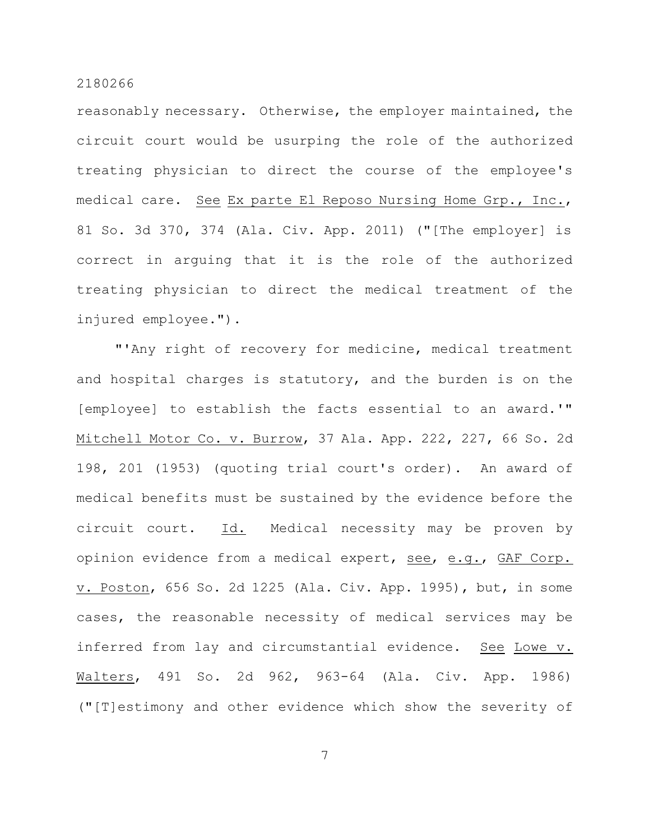reasonably necessary. Otherwise, the employer maintained, the circuit court would be usurping the role of the authorized treating physician to direct the course of the employee's medical care. See Ex parte El Reposo Nursing Home Grp., Inc., 81 So. 3d 370, 374 (Ala. Civ. App. 2011) ("[The employer] is correct in arguing that it is the role of the authorized treating physician to direct the medical treatment of the injured employee.").

"'Any right of recovery for medicine, medical treatment and hospital charges is statutory, and the burden is on the [employee] to establish the facts essential to an award.'" Mitchell Motor Co. v. Burrow, 37 Ala. App. 222, 227, 66 So. 2d 198, 201 (1953) (quoting trial court's order). An award of medical benefits must be sustained by the evidence before the circuit court. Id. Medical necessity may be proven by opinion evidence from a medical expert, see, e.g., GAF Corp. v. Poston, 656 So. 2d 1225 (Ala. Civ. App. 1995), but, in some cases, the reasonable necessity of medical services may be inferred from lay and circumstantial evidence. See Lowe v. Walters, 491 So. 2d 962, 963-64 (Ala. Civ. App. 1986) ("[T]estimony and other evidence which show the severity of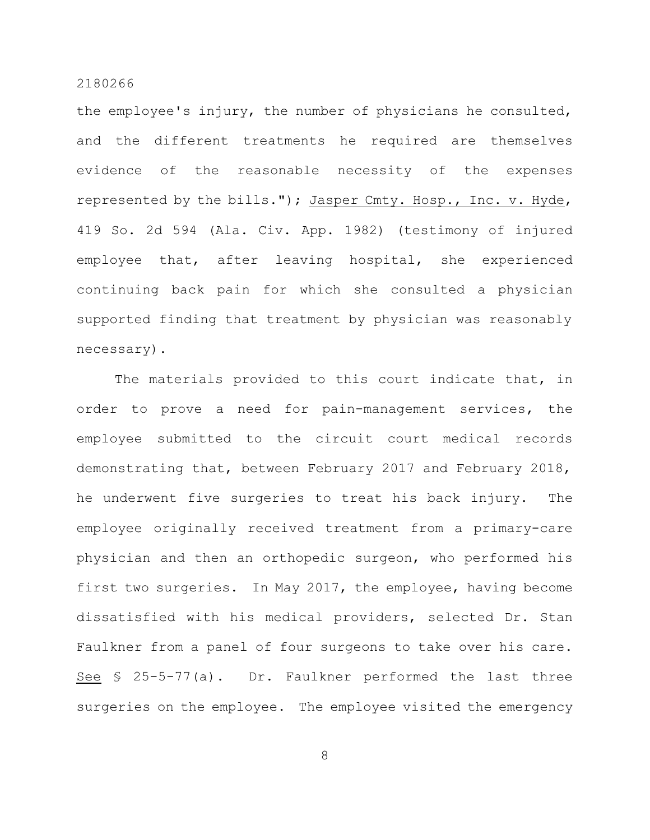the employee's injury, the number of physicians he consulted, and the different treatments he required are themselves evidence of the reasonable necessity of the expenses represented by the bills."); Jasper Cmty. Hosp., Inc. v. Hyde, 419 So. 2d 594 (Ala. Civ. App. 1982) (testimony of injured employee that, after leaving hospital, she experienced continuing back pain for which she consulted a physician supported finding that treatment by physician was reasonably necessary).

The materials provided to this court indicate that, in order to prove a need for pain-management services, the employee submitted to the circuit court medical records demonstrating that, between February 2017 and February 2018, he underwent five surgeries to treat his back injury. The employee originally received treatment from a primary-care physician and then an orthopedic surgeon, who performed his first two surgeries. In May 2017, the employee, having become dissatisfied with his medical providers, selected Dr. Stan Faulkner from a panel of four surgeons to take over his care. See § 25-5-77(a). Dr. Faulkner performed the last three surgeries on the employee. The employee visited the emergency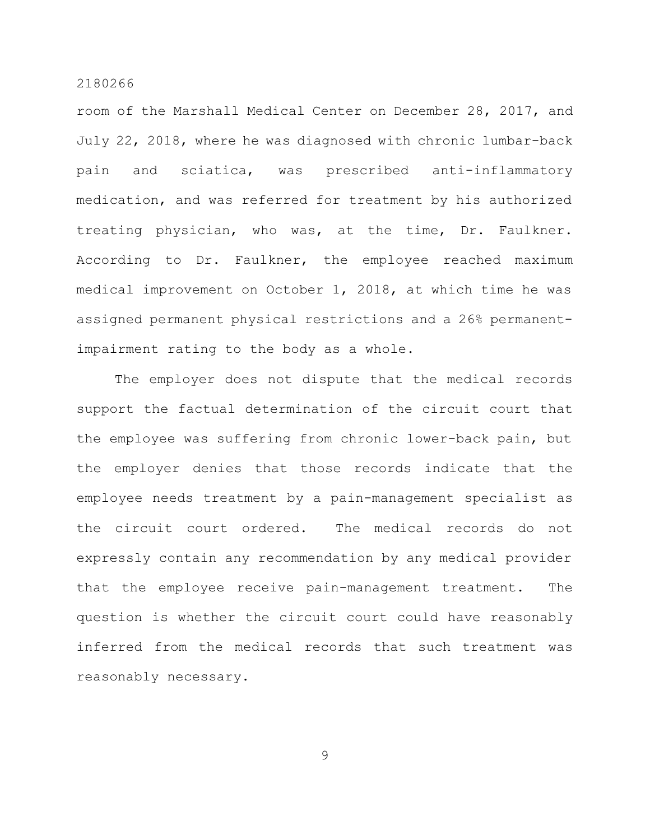room of the Marshall Medical Center on December 28, 2017, and July 22, 2018, where he was diagnosed with chronic lumbar-back pain and sciatica, was prescribed anti-inflammatory medication, and was referred for treatment by his authorized treating physician, who was, at the time, Dr. Faulkner. According to Dr. Faulkner, the employee reached maximum medical improvement on October 1, 2018, at which time he was assigned permanent physical restrictions and a 26% permanentimpairment rating to the body as a whole.

The employer does not dispute that the medical records support the factual determination of the circuit court that the employee was suffering from chronic lower-back pain, but the employer denies that those records indicate that the employee needs treatment by a pain-management specialist as the circuit court ordered. The medical records do not expressly contain any recommendation by any medical provider that the employee receive pain-management treatment. The question is whether the circuit court could have reasonably inferred from the medical records that such treatment was reasonably necessary.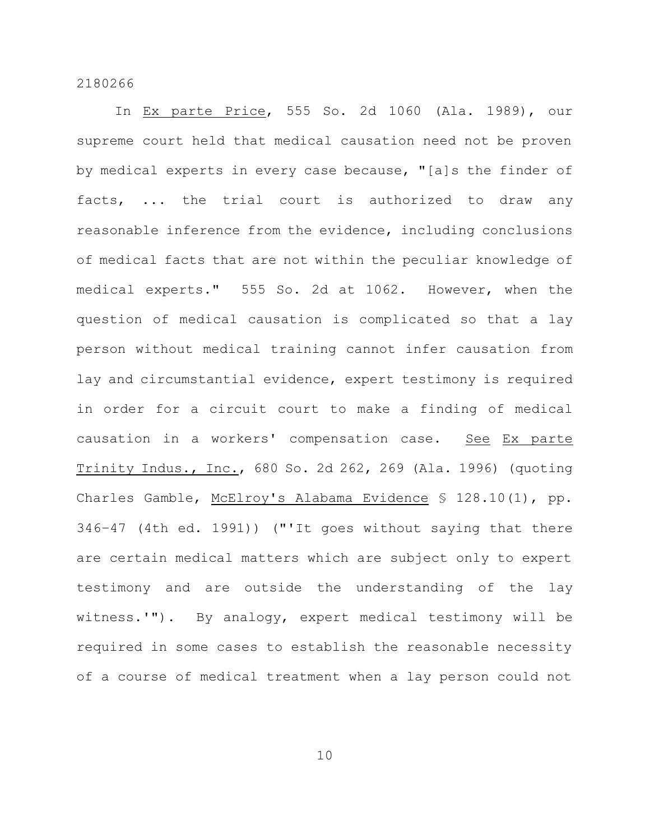In Ex parte Price, 555 So. 2d 1060 (Ala. 1989), our supreme court held that medical causation need not be proven by medical experts in every case because, "[a]s the finder of facts, ... the trial court is authorized to draw any reasonable inference from the evidence, including conclusions of medical facts that are not within the peculiar knowledge of medical experts." 555 So. 2d at 1062. However, when the question of medical causation is complicated so that a lay person without medical training cannot infer causation from lay and circumstantial evidence, expert testimony is required in order for a circuit court to make a finding of medical causation in a workers' compensation case. See Ex parte Trinity Indus., Inc., 680 So. 2d 262, 269 (Ala. 1996) (quoting Charles Gamble, McElroy's Alabama Evidence § 128.10(1), pp. 346–47 (4th ed. 1991)) ("'It goes without saying that there are certain medical matters which are subject only to expert testimony and are outside the understanding of the lay witness.'"). By analogy, expert medical testimony will be required in some cases to establish the reasonable necessity of a course of medical treatment when a lay person could not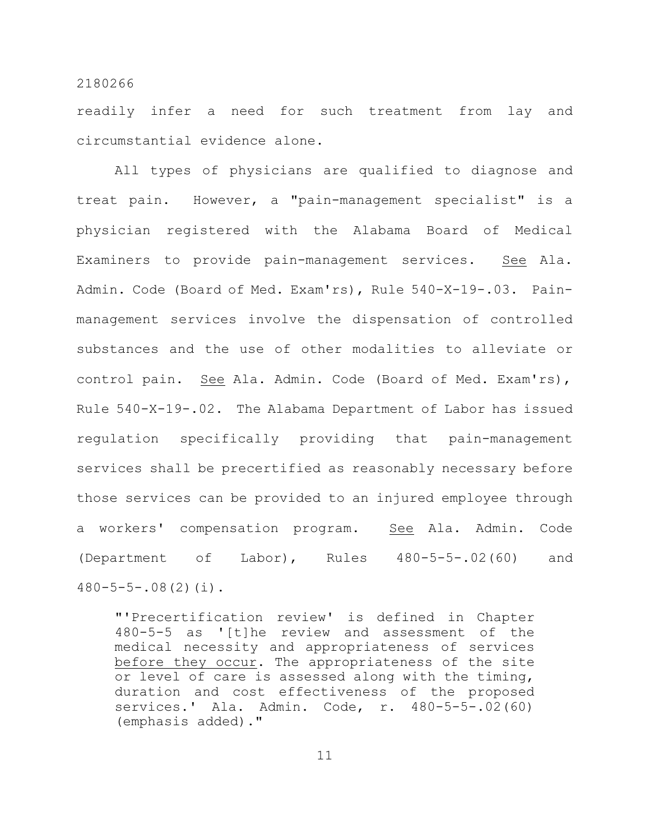readily infer a need for such treatment from lay and circumstantial evidence alone.

All types of physicians are qualified to diagnose and treat pain. However, a "pain-management specialist" is a physician registered with the Alabama Board of Medical Examiners to provide pain-management services. See Ala. Admin. Code (Board of Med. Exam'rs), Rule 540-X-19-.03. Painmanagement services involve the dispensation of controlled substances and the use of other modalities to alleviate or control pain. See Ala. Admin. Code (Board of Med. Exam'rs), Rule 540-X-19-.02. The Alabama Department of Labor has issued regulation specifically providing that pain-management services shall be precertified as reasonably necessary before those services can be provided to an injured employee through a workers' compensation program. See Ala. Admin. Code (Department of Labor), Rules 480-5-5-.02(60) and  $480 - 5 - 5 - .08(2)(i)$ .

"'Precertification review' is defined in Chapter 480-5-5 as '[t]he review and assessment of the medical necessity and appropriateness of services before they occur. The appropriateness of the site or level of care is assessed along with the timing, duration and cost effectiveness of the proposed services.' Ala. Admin. Code, r. 480-5-5-.02(60) (emphasis added)."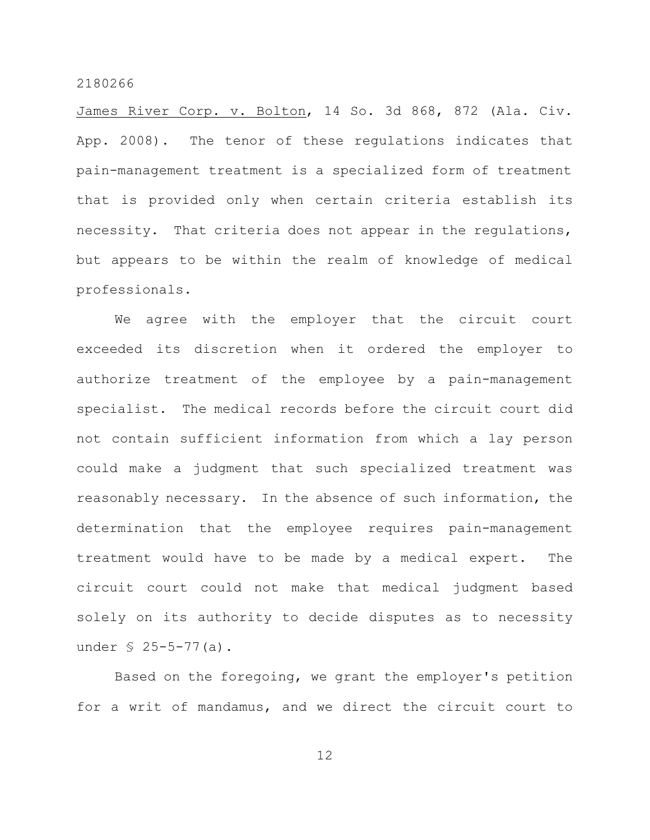James River Corp. v. Bolton, 14 So. 3d 868, 872 (Ala. Civ. App. 2008). The tenor of these regulations indicates that pain-management treatment is a specialized form of treatment that is provided only when certain criteria establish its necessity. That criteria does not appear in the regulations, but appears to be within the realm of knowledge of medical professionals.

We agree with the employer that the circuit court exceeded its discretion when it ordered the employer to authorize treatment of the employee by a pain-management specialist. The medical records before the circuit court did not contain sufficient information from which a lay person could make a judgment that such specialized treatment was reasonably necessary. In the absence of such information, the determination that the employee requires pain-management treatment would have to be made by a medical expert. The circuit court could not make that medical judgment based solely on its authority to decide disputes as to necessity under § 25-5-77(a).

Based on the foregoing, we grant the employer's petition for a writ of mandamus, and we direct the circuit court to